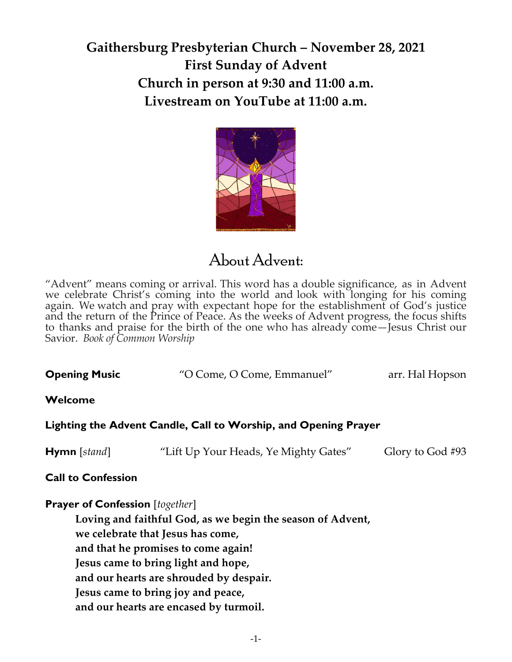# **Gaithersburg Presbyterian Church – November 28, 2021 First Sunday of Advent Church in person at 9:30 and 11:00 a.m. Livestream on YouTube at 11:00 a.m.**



# About Advent:

"Advent" means coming or arrival. This word has a double significance, as in Advent we celebrate Christ's coming into the world and look with longing for his coming again. We watch and pray with expectant hope for the establishment of God's justice and the return of the Prince of Peace. As the weeks of Advent progress, the focus shifts to thanks and praise for the birth of the one who has already come—Jesus Christ our Savior. *Book of Common Worship*

| <b>Opening Music</b><br>arr. Hal Hopson<br>"O Come, O Come, Emmanuel" |
|-----------------------------------------------------------------------|
|-----------------------------------------------------------------------|

## **Welcome**

**Lighting the Advent Candle, Call to Worship, and Opening Prayer** 

**Hymn** [*stand*] "Lift Up Your Heads, Ye Mighty Gates" Glory to God #93

## **Call to Confession**

### **Prayer of Confession** [*together*]

**Loving and faithful God, as we begin the season of Advent, we celebrate that Jesus has come, and that he promises to come again! Jesus came to bring light and hope, and our hearts are shrouded by despair. Jesus came to bring joy and peace, and our hearts are encased by turmoil.**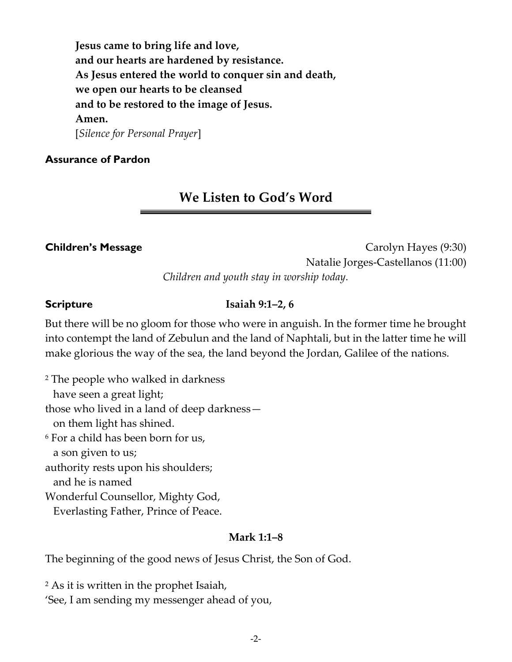**Jesus came to bring life and love, and our hearts are hardened by resistance. As Jesus entered the world to conquer sin and death, we open our hearts to be cleansed and to be restored to the image of Jesus. Amen.**  [*Silence for Personal Prayer*]

## **Assurance of Pardon**

## **We Listen to God's Word**

**Children's Message Children's Message Carolyn Hayes (9:30)** Natalie Jorges-Castellanos (11:00) *Children and youth stay in worship today.*

## **Scripture Isaiah 9:1–2, 6**

But there will be no gloom for those who were in anguish. In the former time he brought into contempt the land of Zebulun and the land of Naphtali, but in the latter time he will make glorious the way of the sea, the land beyond the Jordan, Galilee of the nations.

<sup>2</sup> The people who walked in darkness have seen a great light; those who lived in a land of deep darkness on them light has shined. <sup>6</sup> For a child has been born for us, a son given to us; authority rests upon his shoulders; and he is named

Wonderful Counsellor, Mighty God,

Everlasting Father, Prince of Peace.

## **Mark 1:1–8**

The beginning of the good news of Jesus Christ, the Son of God.

<sup>2</sup> As it is written in the prophet Isaiah, 'See, I am sending my messenger ahead of you,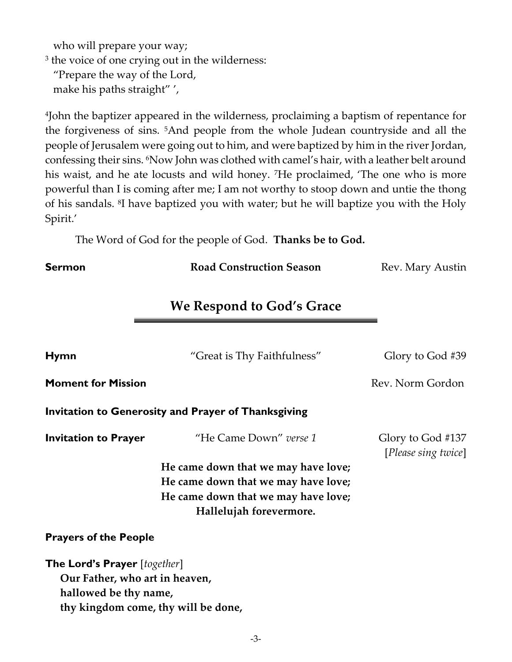who will prepare your way;

3 the voice of one crying out in the wilderness:

 "Prepare the way of the Lord, make his paths straight" ',

4 John the baptizer appeared in the wilderness, proclaiming a baptism of repentance for the forgiveness of sins. 5And people from the whole Judean countryside and all the people of Jerusalem were going out to him, and were baptized by him in the river Jordan, confessing their sins. 6Now John was clothed with camel's hair, with a leather belt around his waist, and he ate locusts and wild honey. 7He proclaimed, 'The one who is more powerful than I is coming after me; I am not worthy to stoop down and untie the thong of his sandals. <sup>8</sup> I have baptized you with water; but he will baptize you with the Holy Spirit.'

The Word of God for the people of God. **Thanks be to God.**

**Sermon Road Construction Season Rev. Mary Austin** 

**We Respond to God's Grace**

| <b>Hymn</b>                                         | "Great is Thy Faithfulness"         | Glory to God #39                         |  |
|-----------------------------------------------------|-------------------------------------|------------------------------------------|--|
| <b>Moment for Mission</b>                           |                                     | Rev. Norm Gordon                         |  |
| Invitation to Generosity and Prayer of Thanksgiving |                                     |                                          |  |
| <b>Invitation to Prayer</b>                         | "He Came Down" verse 1              | Glory to God #137<br>[Please sing twice] |  |
| He came down that we may have love;                 |                                     |                                          |  |
| He came down that we may have love;                 |                                     |                                          |  |
|                                                     | He came down that we may have love; |                                          |  |
| Hallelujah forevermore.                             |                                     |                                          |  |
| <b>Prayers of the People</b>                        |                                     |                                          |  |
| <b>The Lord's Prayer</b> [together]                 |                                     |                                          |  |
| Our Father, who art in heaven,                      |                                     |                                          |  |
| hallowed be thy name,                               |                                     |                                          |  |
| thy kingdom come, thy will be done,                 |                                     |                                          |  |